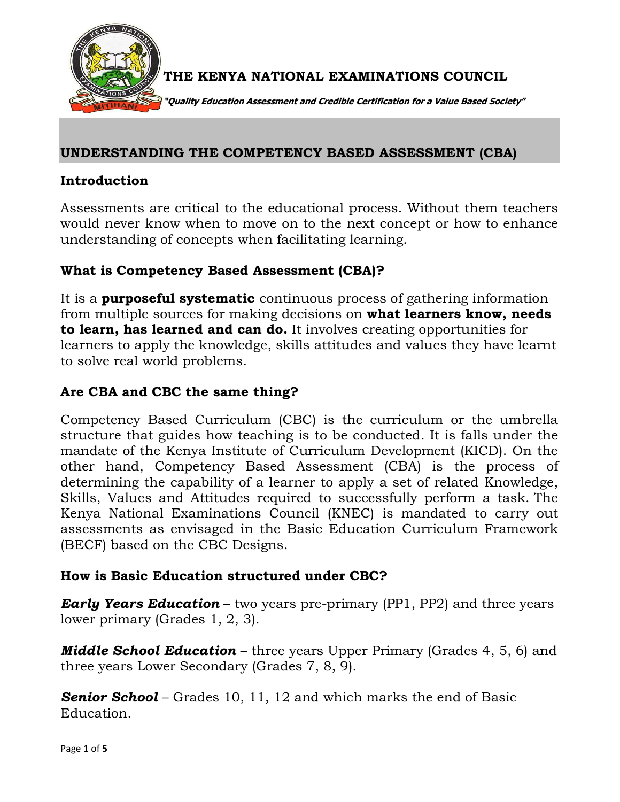

THE KENYA NATIONAL EXAMINATIONS COUNCIL

"Quality Education Assessment and Credible Certification for a Value Based Society"

### UNDERSTANDING THE COMPETENCY BASED ASSESSMENT (CBA)

#### Introduction

Assessments are critical to the educational process. Without them teachers would never know when to move on to the next concept or how to enhance understanding of concepts when facilitating learning.

## What is Competency Based Assessment (CBA)?

It is a **purposeful systematic** continuous process of gathering information from multiple sources for making decisions on what learners know, needs to learn, has learned and can do. It involves creating opportunities for learners to apply the knowledge, skills attitudes and values they have learnt to solve real world problems.

## Are CBA and CBC the same thing?

Competency Based Curriculum (CBC) is the curriculum or the umbrella structure that guides how teaching is to be conducted. It is falls under the mandate of the Kenya Institute of Curriculum Development (KICD). On the other hand, Competency Based Assessment (CBA) is the process of determining the capability of a learner to apply a set of related Knowledge, Skills, Values and Attitudes required to successfully perform a task. The Kenya National Examinations Council (KNEC) is mandated to carry out assessments as envisaged in the Basic Education Curriculum Framework (BECF) based on the CBC Designs.

### How is Basic Education structured under CBC?

**Early Years Education** – two years pre-primary (PP1, PP2) and three years lower primary (Grades 1, 2, 3).

**Middle School Education** – three years Upper Primary (Grades 4, 5, 6) and three years Lower Secondary (Grades 7, 8, 9).

**Senior School** – Grades 10, 11, 12 and which marks the end of Basic Education.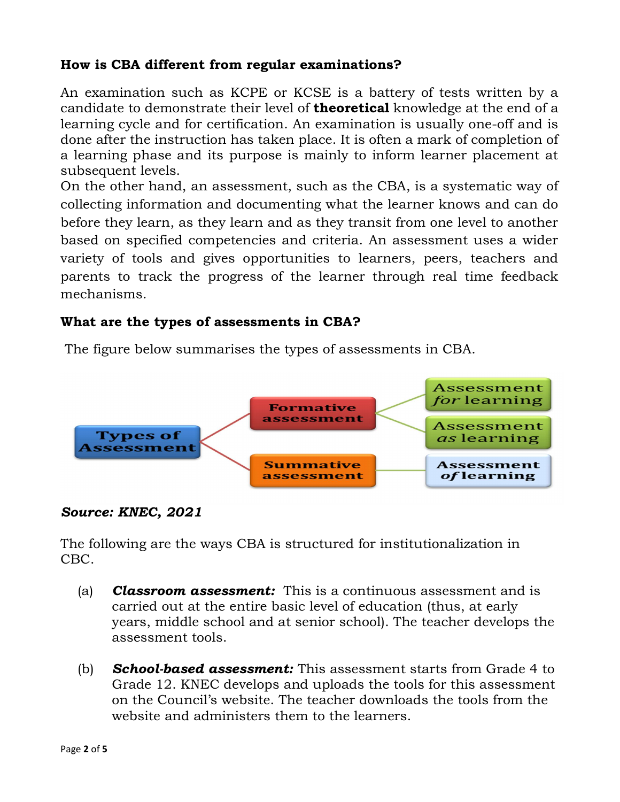# How is CBA different from regular examinations?

An examination such as KCPE or KCSE is a battery of tests written by a candidate to demonstrate their level of **theoretical** knowledge at the end of a learning cycle and for certification. An examination is usually one-off and is done after the instruction has taken place. It is often a mark of completion of a learning phase and its purpose is mainly to inform learner placement at subsequent levels.

On the other hand, an assessment, such as the CBA, is a systematic way of collecting information and documenting what the learner knows and can do before they learn, as they learn and as they transit from one level to another based on specified competencies and criteria. An assessment uses a wider variety of tools and gives opportunities to learners, peers, teachers and parents to track the progress of the learner through real time feedback mechanisms.

## What are the types of assessments in CBA?

The figure below summarises the types of assessments in CBA.



#### Source: KNEC, 2021

The following are the ways CBA is structured for institutionalization in CBC.

- (a) **Classroom assessment:** This is a continuous assessment and is carried out at the entire basic level of education (thus, at early years, middle school and at senior school). The teacher develops the assessment tools.
- (b) **School-based assessment:** This assessment starts from Grade  $4$  to Grade 12. KNEC develops and uploads the tools for this assessment on the Council's website. The teacher downloads the tools from the website and administers them to the learners.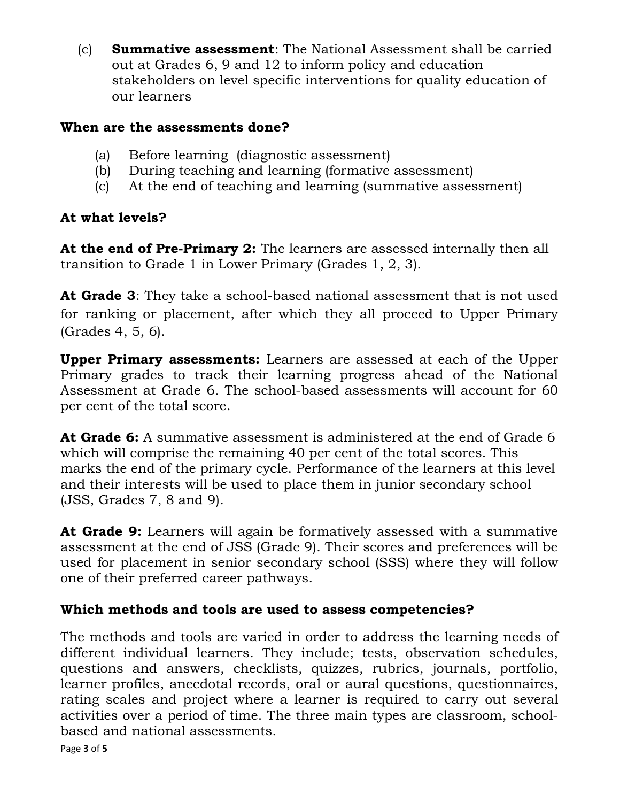(c) Summative assessment: The National Assessment shall be carried out at Grades 6, 9 and 12 to inform policy and education stakeholders on level specific interventions for quality education of our learners

# When are the assessments done?

- (a) Before learning (diagnostic assessment)
- (b) During teaching and learning (formative assessment)
- (c) At the end of teaching and learning (summative assessment)

# At what levels?

At the end of Pre-Primary 2: The learners are assessed internally then all transition to Grade 1 in Lower Primary (Grades 1, 2, 3).

At Grade 3: They take a school-based national assessment that is not used for ranking or placement, after which they all proceed to Upper Primary (Grades 4, 5, 6).

Upper Primary assessments: Learners are assessed at each of the Upper Primary grades to track their learning progress ahead of the National Assessment at Grade 6. The school-based assessments will account for 60 per cent of the total score.

At Grade 6: A summative assessment is administered at the end of Grade 6 which will comprise the remaining 40 per cent of the total scores. This marks the end of the primary cycle. Performance of the learners at this level and their interests will be used to place them in junior secondary school (JSS, Grades 7, 8 and 9).

At Grade 9: Learners will again be formatively assessed with a summative assessment at the end of JSS (Grade 9). Their scores and preferences will be used for placement in senior secondary school (SSS) where they will follow one of their preferred career pathways.

# Which methods and tools are used to assess competencies?

The methods and tools are varied in order to address the learning needs of different individual learners. They include; tests, observation schedules, questions and answers, checklists, quizzes, rubrics, journals, portfolio, learner profiles, anecdotal records, oral or aural questions, questionnaires, rating scales and project where a learner is required to carry out several activities over a period of time. The three main types are classroom, schoolbased and national assessments.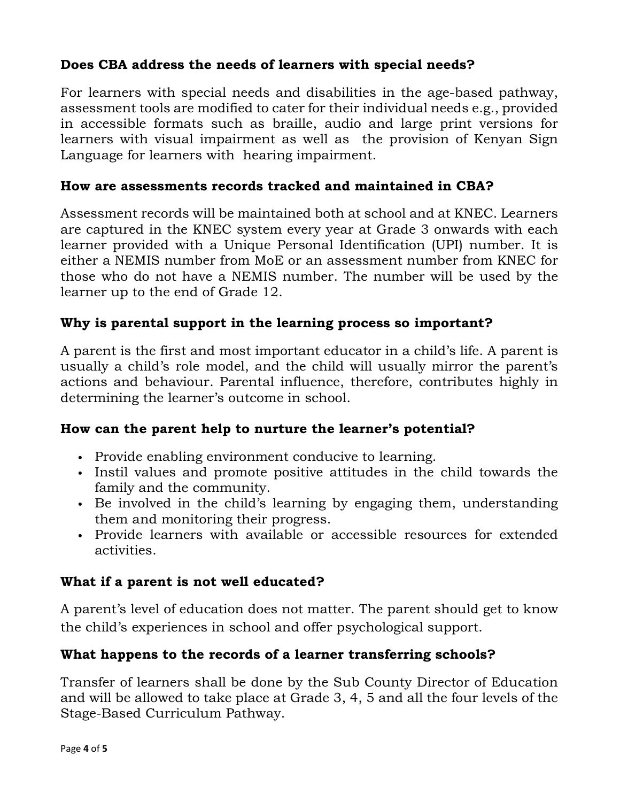# Does CBA address the needs of learners with special needs?

For learners with special needs and disabilities in the age-based pathway, assessment tools are modified to cater for their individual needs e.g., provided in accessible formats such as braille, audio and large print versions for learners with visual impairment as well as the provision of Kenyan Sign Language for learners with hearing impairment.

# How are assessments records tracked and maintained in CBA?

Assessment records will be maintained both at school and at KNEC. Learners are captured in the KNEC system every year at Grade 3 onwards with each learner provided with a Unique Personal Identification (UPI) number. It is either a NEMIS number from MoE or an assessment number from KNEC for those who do not have a NEMIS number. The number will be used by the learner up to the end of Grade 12.

# Why is parental support in the learning process so important?

A parent is the first and most important educator in a child's life. A parent is usually a child's role model, and the child will usually mirror the parent's actions and behaviour. Parental influence, therefore, contributes highly in determining the learner's outcome in school.

# How can the parent help to nurture the learner's potential?

- Provide enabling environment conducive to learning.
- Instil values and promote positive attitudes in the child towards the family and the community.
- Be involved in the child's learning by engaging them, understanding them and monitoring their progress.
- Provide learners with available or accessible resources for extended activities.

### What if a parent is not well educated?

A parent's level of education does not matter. The parent should get to know the child's experiences in school and offer psychological support.

# What happens to the records of a learner transferring schools?

Transfer of learners shall be done by the Sub County Director of Education and will be allowed to take place at Grade 3, 4, 5 and all the four levels of the Stage-Based Curriculum Pathway.